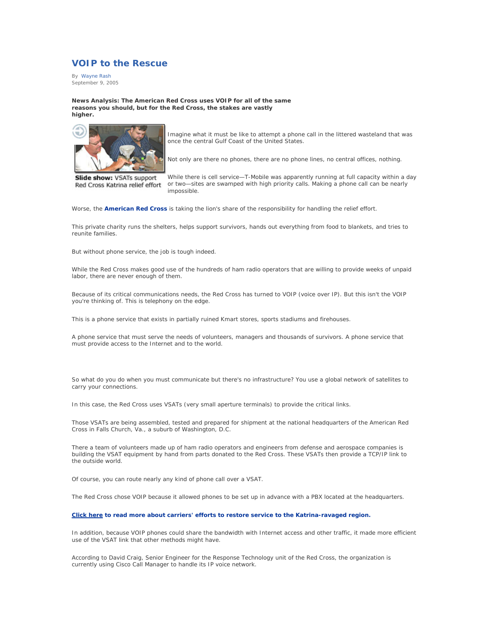## **VOIP to the Rescue**

By Wayne Rash September 9, 2005

**News Analysis: The American Red Cross uses VOIP for all of the same reasons you should, but for the Red Cross, the stakes are vastly higher.**



Slide show: VSATs support Red Cross Katrina relief effort

Imagine what it must be like to attempt a phone call in the littered wasteland that was once the central Gulf Coast of the United States.

Not only are there no phones, there are no phone lines, no central offices, nothing.

While there is cell service—T-Mobile was apparently running at full capacity within a day or two—sites are swamped with high priority calls. Making a phone call can be nearly impossible.

Worse, the **American Red Cross** is taking the lion's share of the responsibility for handling the relief effort.

This private charity runs the shelters, helps support survivors, hands out everything from food to blankets, and tries to reunite families.

But without phone service, the job is tough indeed.

While the Red Cross makes good use of the hundreds of ham radio operators that are willing to provide weeks of unpaid labor, there are never enough of them.

Because of its critical communications needs, the Red Cross has turned to VOIP (voice over IP). But this isn't the VOIP you're thinking of. This is telephony on the edge.

This is a phone service that exists in partially ruined Kmart stores, sports stadiums and firehouses.

A phone service that must serve the needs of volunteers, managers and thousands of survivors. A phone service that must provide access to the Internet and to the world.

So what do you do when you must communicate but there's no infrastructure? You use a global network of satellites to carry your connections.

In this case, the Red Cross uses VSATs (very small aperture terminals) to provide the critical links.

Those VSATs are being assembled, tested and prepared for shipment at the national headquarters of the American Red Cross in Falls Church, Va., a suburb of Washington, D.C.

There a team of volunteers made up of ham radio operators and engineers from defense and aerospace companies is building the VSAT equipment by hand from parts donated to the Red Cross. These VSATs then provide a TCP/IP link to the outside world.

Of course, you can route nearly any kind of phone call over a VSAT.

The Red Cross chose VOIP because it allowed phones to be set up in advance with a PBX located at the headquarters.

## **Click here to read more about carriers' efforts to restore service to the Katrina-ravaged region.**

In addition, because VOIP phones could share the bandwidth with Internet access and other traffic, it made more efficient use of the VSAT link that other methods might have.

According to David Craig, Senior Engineer for the Response Technology unit of the Red Cross, the organization is currently using Cisco Call Manager to handle its IP voice network.